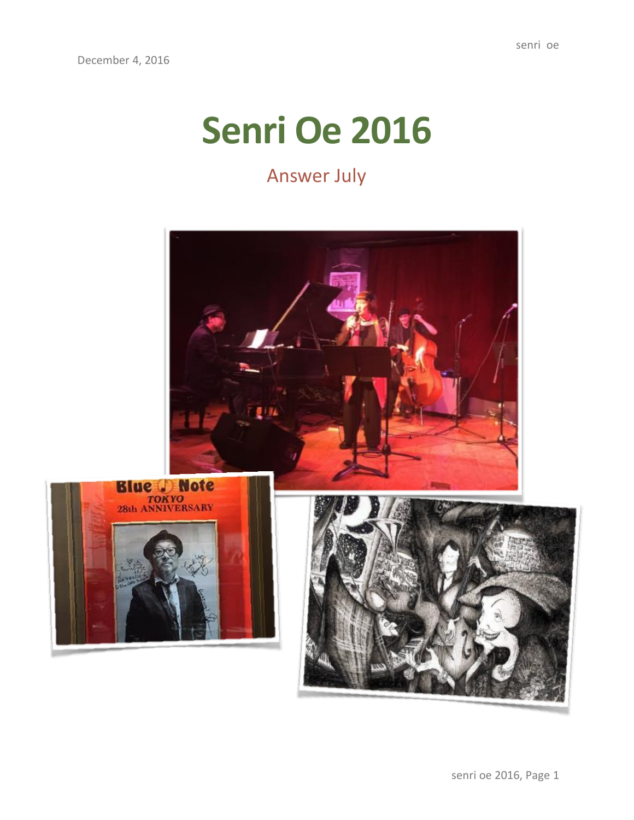## **Senri Oe 2016**

## Answer July

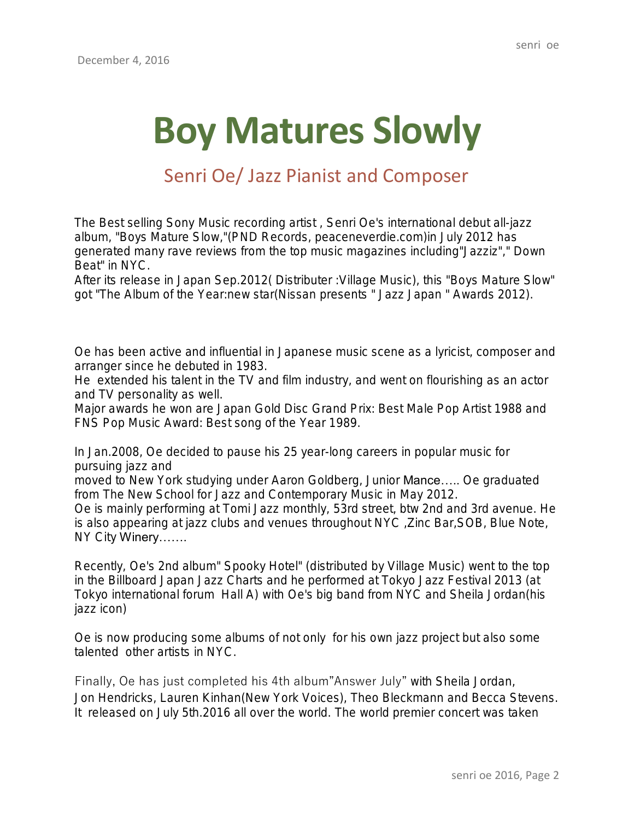# **Boy Matures Slowly**

### Senri Oe/ Jazz Pianist and Composer

The Best selling Sony Music recording artist , Senri Oe's international debut all-jazz album, "Boys Mature Slow,"(PND Records, peaceneverdie.com)in July 2012 has generated many rave reviews from the top music magazines including"Jazziz"," Down Beat" in NYC.

After its release in Japan Sep.2012( Distributer :Village Music), this "Boys Mature Slow" got "The Album of the Year:new star(Nissan presents " Jazz Japan " Awards 2012).

Oe has been active and influential in Japanese music scene as a lyricist, composer and arranger since he debuted in 1983.

He extended his talent in the TV and film industry, and went on flourishing as an actor and TV personality as well.

Major awards he won are Japan Gold Disc Grand Prix: Best Male Pop Artist 1988 and FNS Pop Music Award: Best song of the Year 1989.

In Jan.2008, Oe decided to pause his 25 year-long careers in popular music for pursuing jazz and

moved to New York studying under Aaron Goldberg, Junior Mance….. Oe graduated from The New School for Jazz and Contemporary Music in May 2012.

Oe is mainly performing at Tomi Jazz monthly, 53rd street, btw 2nd and 3rd avenue. He is also appearing at jazz clubs and venues throughout NYC ,Zinc Bar,SOB, Blue Note, NY City Winery…….

Recently, Oe's 2nd album" Spooky Hotel" (distributed by Village Music) went to the top in the Billboard Japan Jazz Charts and he performed at Tokyo Jazz Festival 2013 (at Tokyo international forum Hall A) with Oe's big band from NYC and Sheila Jordan(his jazz icon)

Oe is now producing some albums of not only for his own jazz project but also some talented other artists in NYC.

Finally, Oe has just completed his 4th album"Answer July" with Sheila Jordan, Jon Hendricks, Lauren Kinhan(New York Voices), Theo Bleckmann and Becca Stevens. It released on July 5th.2016 all over the world. The world premier concert was taken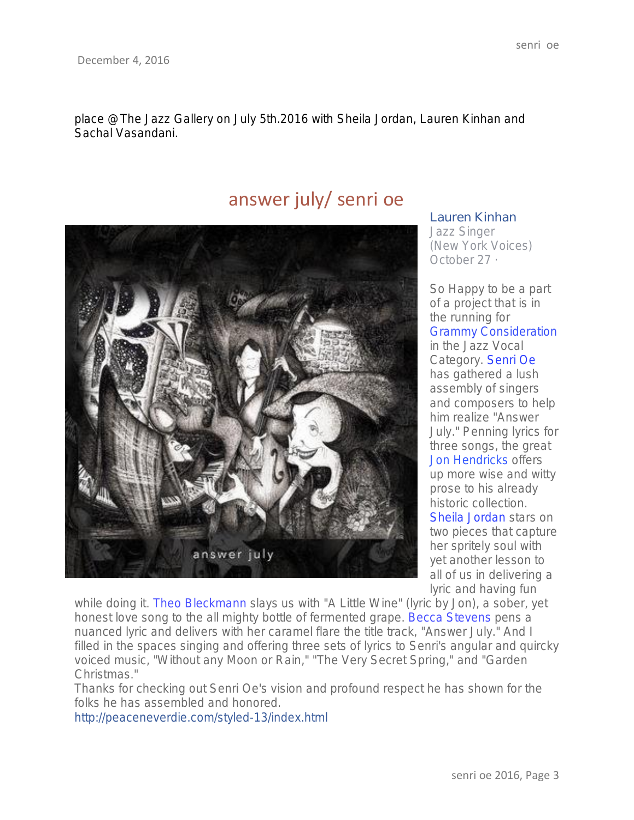place @The Jazz Gallery on July 5th.2016 with Sheila Jordan, Lauren Kinhan and Sachal Vasandani.

### answer july/ senri oe



#### Lauren [Kinhan](https://www.facebook.com/lauren.kinhan?fref=nf)

Jazz Singer (New York Voices) [October](https://www.facebook.com/photo.php?fbid=10154416621791418&set=a.367314426417.198486.645781417&type=3) 27 ·

So Happy to be a part of a project that is in the running for Grammy Consideration in the Jazz Vocal Category. [Senri](https://www.facebook.com/senri.oe1) Oe has gathered a lush assembly of singers and composers to help him realize "Answer July." Penning lyrics for three songs, the great Jon [Hendricks](https://www.facebook.com/ariahendricksnyc) offers up more wise and witty prose to his already historic collection. Sheila [Jordan](https://www.facebook.com/sheilajordanjazz) stars on two pieces that capture her spritely soul with yet another lesson to all of us in delivering a lyric and having fun

while doing it. Theo Bleckmann slays us with "A Little Wine" (lyric by Jon), a sober, yet honest love song to the all mighty bottle of fermented grape. Becca Stevens pens a nuanced lyric and delivers with her caramel flare the title track, "Answer July." And I filled in the spaces singing and offering three sets of lyrics to Senri's angular and quircky voiced music, "Without any Moon or Rain," "The Very Secret Spring," and "Garden Christmas."

Thanks for checking out Senri Oe's vision and profound respect he has shown for the folks he has assembled and honored.

[http://peaceneverdie.com/styled-13/index.html](http://l.facebook.com/l.php?u=http%3A%2F%2Fpeaceneverdie.com%2Fstyled-13%2Findex.html&h=ATMEfQYZvEmb8Brx_yYKWzC8QEbrRWkJHU4nP_jZBSj13OX9UnQB57IL-VgjALu2YyCtTkAxA_s2Xi9Jhzr-2TrBTpO8-jxkeaWvcpjLzqM6grhmdFs-xLMI&enc=AZPifH24iv2a_pPH2Jrs--CIkRGlp3IlDHTR8yv1lh_n9b3uSmSOqRmiQrVlFJNluqbeljGqDG8O6641r1jKcSb4vvhyivufxtdT6ShzqGHwmwU26UH3fbtJq2P_Pgn-QtQ0RIYLiUfKC27byZjLY4kQjdcSwcPuFqdWiIVF27Z4YhyfwFHwTm7nAvcCQJoxf1o&s=1)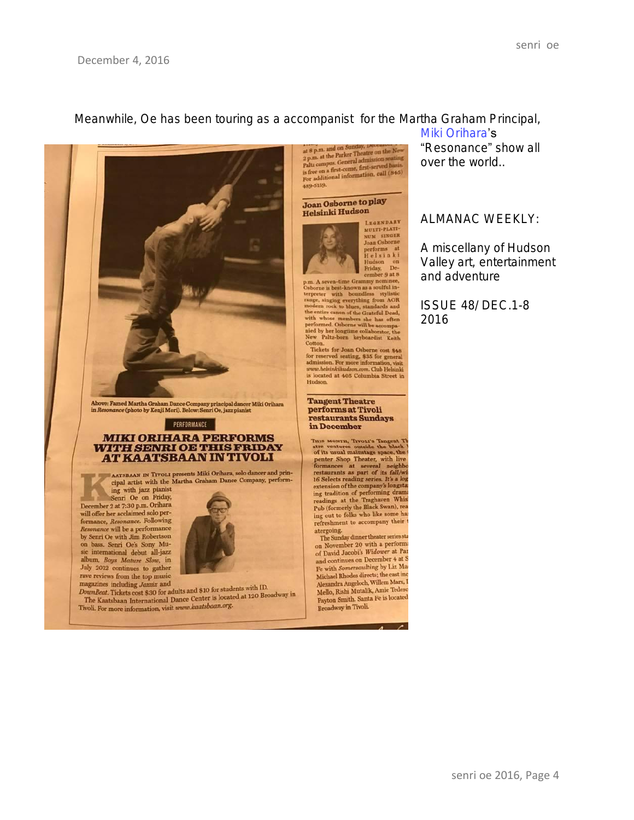#### Meanwhile, Oe has been touring as a accompanist for the Martha Graham Principal,



Above: Famed Martha Graham Dance Company principal dancer Miki Orihara<br>in Resonance (photo by Kenji Mori). Below: Senri Oe, jazz pianist

#### PERFORMANCE

## **MIKI ORIHARA PERFORMS<br>WITH SENRI OE THIS FRIDAY<br>AT KAATSBAAN IN TIVOLI**

AATSBAAN IN TIVOLI presents Miki Orihara, solo dancer and principal artist with the Martha Graham Dance Company, performing with jazz pianist

Senri Oe on Friday, December 2 at 7:30 p.m. Orihara will offer her acclaimed solo perwill offer her acciatined solo per-<br>formance, Resonance. Following<br>Resonance will be a performance by Senri Oe with Jim Robertson on bass. Senri Oe's Sony Music international debut all-jazz album, Boys Mature Slow, in July 2012 continues to gather rave reviews from the top music magazines including Jazziz and

magazines including Jazziz and<br>
DownBeat. Tickets cost \$30 for adults and \$10 for students with ID.<br>
The Kaatsbaan International Dance Center is located at 120 Broadway in<br>
The Kaatsbaan International Dance *kaatsbaan.org* Tivoli. For more information, visit www.kaatsbaan.org.

at 8 p.m. and on Sunday, Lee and the New 2 p.m. at the Parker Theatre on the New 2 p.m. at the Parker Theatre red basis, is free on a first-come, first-served basis. For additional information, call  $(845)$ 489-5159.

#### Joan Osborne to play Helsinki Hudson



cember 9 at 8<br>cember 9 at 8<br>phone is best-known as a soulful interpreter with boundless stylistic<br>trange, singing everything from AOR range, singing everything from AOR<br>modern rock to blues, standards and the cratic cannot Cotton.

Cotton.<br>Tickets for Joan Osborne cost \$48<br>for reserved seating, \$35 for general<br>admission. For more information, visit<br>www.helsinki<br>is located at 405 Columbia Street in<br>is located at 405 Columbia Street in Hudson.

**Tangent Theatre** performs at Tivoli **restaurants Sundays** in December

Thus MONTH, TryoLt's Tangent Theories outside the black the black of its usual maintange space, the penter Shop Theater, with live formances at several neighbors restaurants as part of its fall/wind to Selects reading seri 16 Selects reading series. It's a log<br>extension of the company's longsta<br>ing tradition of performing dram ing tradition of performing drams<br>readings at the Traghaven Whist<br>Pub (formerly the Black Swan), rea<br>ing out to folks who like some has<br>not the accompany their t refreshment to accompany their

atergoing.<br>The Sunday dinner theater series sta on November 20 with a performa on November 20 with a performer<br>of David Jacobi's Widower at Para<br>and continues on December 4 at S Fe with Somersaulting by Liz May<br>Michael Rhodes directs; the cast inc Alexandra Angeloch, Willem Marx, I Mello, Rishi Mutalik, Amie Tedesc Payton Smith. Santa Fe is located **Broadway** in Tivoli.

 $\overline{a}$ 

Miki Orihara's "Resonance" show all over the world.

#### ALMANAC WEEKLY:

A miscellany of Hudson Valley art, entertainment and adventure

ISSUE 48/ DEC.1-8 2016